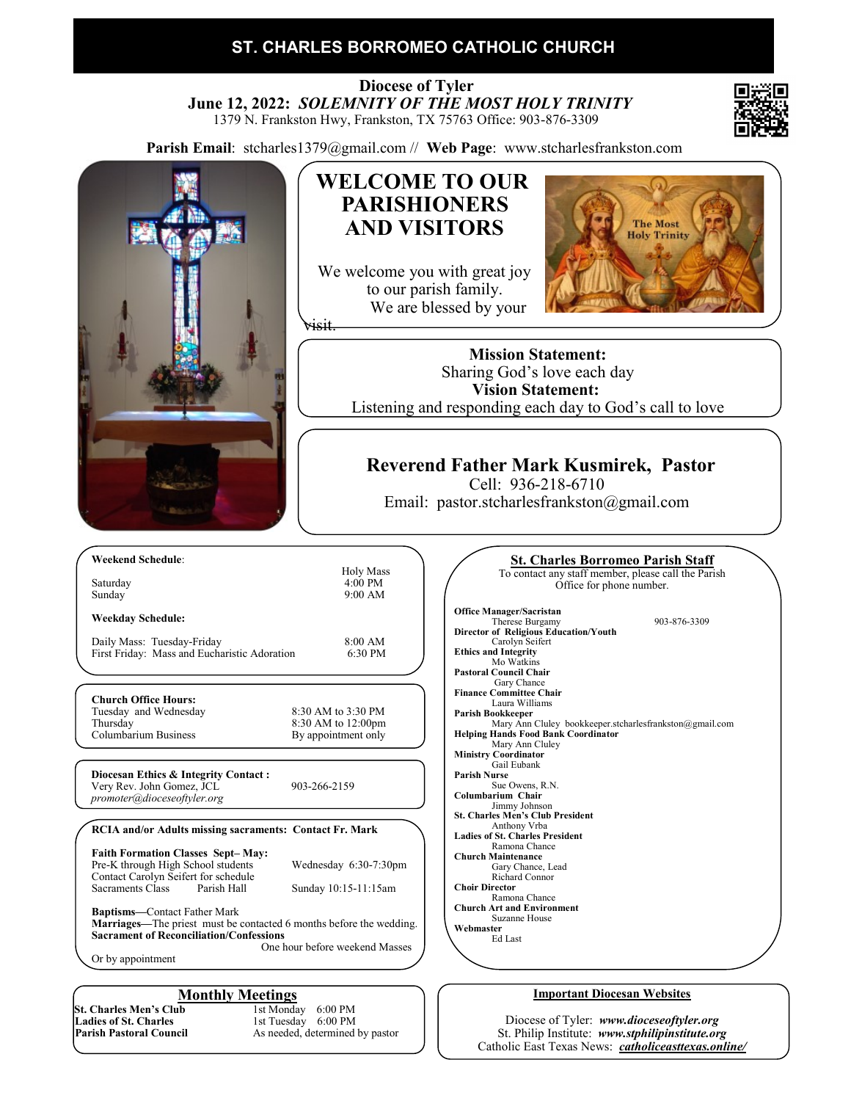### **ST. CHARLES BORROMEO CATHOLIC CHURCH**

 **Diocese of Tyler June 12, 2022:** *SOLEMNITY OF THE MOST HOLY TRINITY* 1379 N. Frankston Hwy, Frankston, TX 75763 Office: 903-876-3309





As needed, determined by pastor

St. Philip Institute: *www.stphilipinstitute.org* Catholic East Texas News: *catholiceasttexas.online/*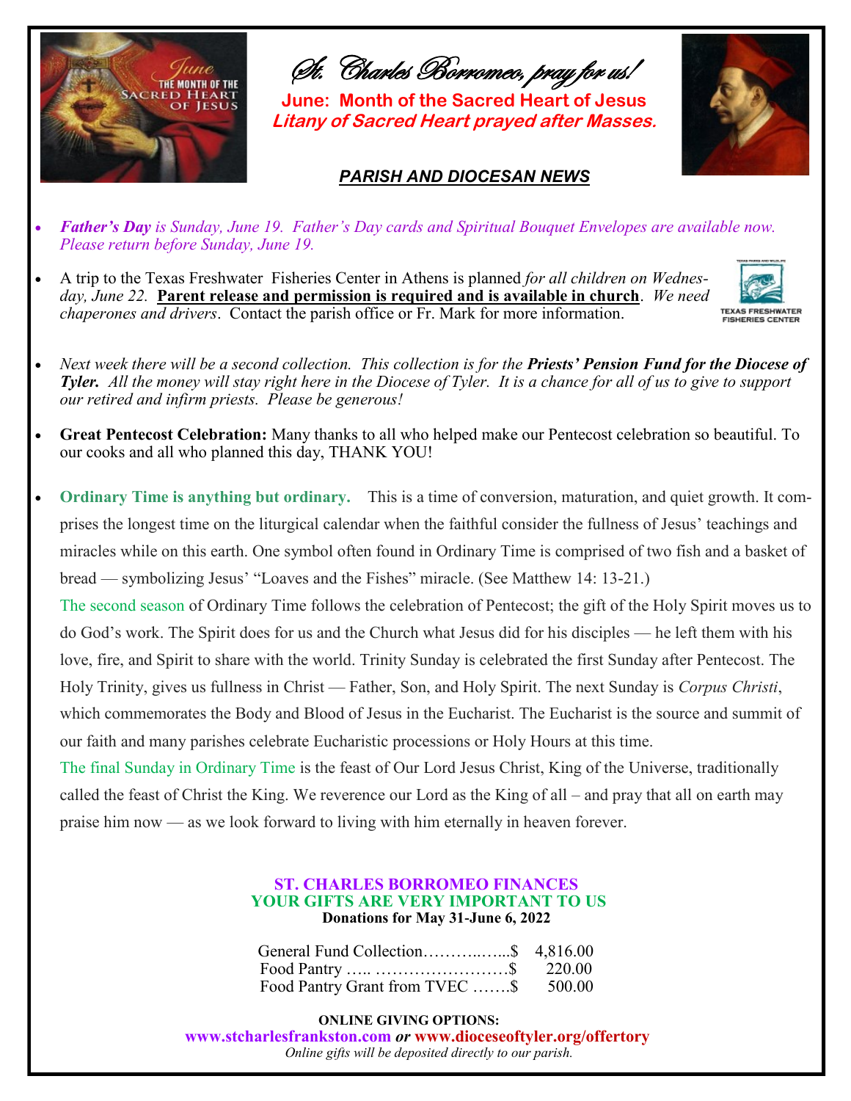

St. Charles Borromeo, pray for us!

**June: Month of the Sacred Heart of Jesus Litany of Sacred Heart prayed after Masses.**

### *PARISH AND DIOCESAN NEWS*

- 
- *Father's Day is Sunday, June 19. Father's Day cards and Spiritual Bouquet Envelopes are available now. Please return before Sunday, June 19.*
- A trip to the Texas Freshwater Fisheries Center in Athens is planned *for all children on Wednesday, June 22.* **Parent release and permission is required and is available in church**. *We need chaperones and drivers*. Contact the parish office or Fr. Mark for more information.



- *Next week there will be a second collection. This collection is for the Priests' Pension Fund for the Diocese of Tyler. All the money will stay right here in the Diocese of Tyler. It is a chance for all of us to give to support our retired and infirm priests. Please be generous!*
- **Great Pentecost Celebration:** Many thanks to all who helped make our Pentecost celebration so beautiful. To our cooks and all who planned this day, THANK YOU!
- **Ordinary Time is anything but ordinary.** This is a time of conversion, maturation, and quiet growth. It comprises the longest time on the liturgical calendar when the faithful consider the fullness of Jesus' teachings and miracles while on this earth. One symbol often found in Ordinary Time is comprised of two fish and a basket of bread — symbolizing Jesus' "Loaves and the Fishes" miracle. (See Matthew 14: 13-21.) The second season of Ordinary Time follows the celebration of Pentecost; the gift of the Holy Spirit moves us to do God's work. The Spirit does for us and the Church what Jesus did for his disciples — he left them with his love, fire, and Spirit to share with the world. Trinity Sunday is celebrated the first Sunday after Pentecost. The Holy Trinity, gives us fullness in Christ — Father, Son, and Holy Spirit. The next Sunday is *Corpus Christi*, which commemorates the Body and Blood of Jesus in the Eucharist. The Eucharist is the source and summit of our faith and many parishes celebrate Eucharistic processions or Holy Hours at this time.

The final Sunday in Ordinary Time is the feast of Our Lord Jesus Christ, King of the Universe, traditionally called the feast of Christ the King. We reverence our Lord as the King of all – and pray that all on earth may praise him now — as we look forward to living with him eternally in heaven forever.

### **ST. CHARLES BORROMEO FINANCES YOUR GIFTS ARE VERY IMPORTANT TO US Donations for May 31-June 6, 2022**

| General Fund Collection\$ 4,816.00    |  |
|---------------------------------------|--|
|                                       |  |
| Food Pantry Grant from TVEC \$ 500.00 |  |

**ONLINE GIVING OPTIONS:** 

 **www.stcharlesfrankston.com** *or* **www.dioceseoftyler.org/offertory** *Online gifts will be deposited directly to our parish.*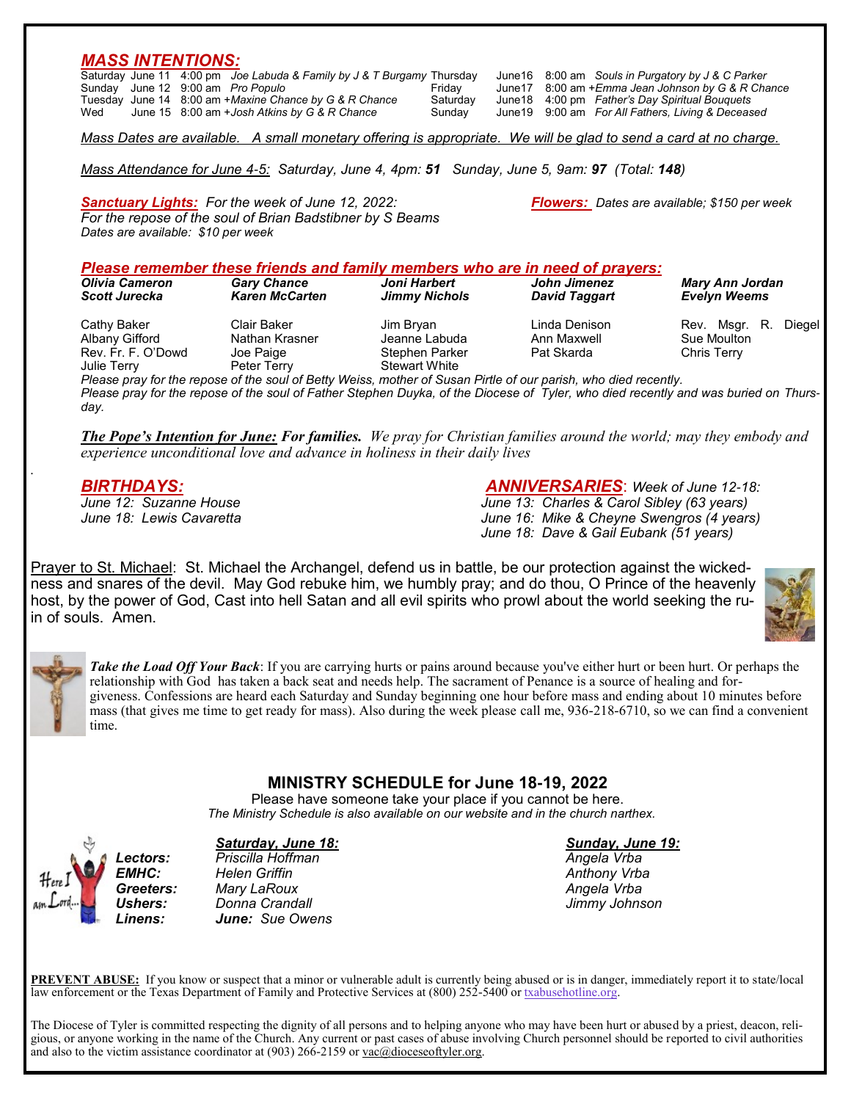### *MASS INTENTIONS:*

|     |  | Saturday June 11 4:00 pm Joe Labuda & Family by J & T Burgamy Thursday |          |  | June 16 8:00 am Souls in Purgatory by J & C Parker  |
|-----|--|------------------------------------------------------------------------|----------|--|-----------------------------------------------------|
|     |  | Sunday June 12 9:00 am Pro Populo                                      | Friday   |  | June 17 8:00 am + Emma Jean Johnson by G & R Chance |
|     |  | Tuesday June 14 8:00 am +Maxine Chance by G & R Chance                 | Saturday |  | June 18 4:00 pm Father's Day Spiritual Bouquets     |
| Wed |  | June 15 8:00 am + Josh Atkins by G & R Chance                          | Sunday   |  | June 19 9:00 am For All Fathers, Living & Deceased  |

*Mass Attendance for June 4-5: Saturday, June 4, 4pm: 51 Sunday, June 5, 9am: 97 (Total: 148)*

*Sanctuary Lights: For the week of June 12, 2022: Flowers: Dates are available; \$150 per week For the repose of the soul of Brian Badstibner by S Beams Dates are available: \$10 per week*

### *Please remember these friends and family members who are in need of prayers:*

| Olivia Cameron                                                     | <b>Gary Chance</b>                                        | Joni Harbert                                                         | John Jimenez                               | <b>Mary Ann Jordan</b>                                       |  |
|--------------------------------------------------------------------|-----------------------------------------------------------|----------------------------------------------------------------------|--------------------------------------------|--------------------------------------------------------------|--|
| <b>Scott Jurecka</b>                                               | <b>Karen McCarten</b>                                     | <b>Jimmy Nichols</b>                                                 | David Taggart                              | <b>Evelyn Weems</b>                                          |  |
| Cathy Baker<br>Albany Gifford<br>Rev. Fr. F. O'Dowd<br>Julie Terry | Clair Baker<br>Nathan Krasner<br>Joe Paige<br>Peter Terry | Jim Bryan<br>Jeanne Labuda<br>Stephen Parker<br><b>Stewart White</b> | Linda Denison<br>Ann Maxwell<br>Pat Skarda | Rev. Msgr. R.<br>Diegel<br>Sue Moulton<br><b>Chris Terry</b> |  |

*Please pray for the repose of the soul of Betty Weiss, mother of Susan Pirtle of our parish, who died recently. Please pray for the repose of the soul of Father Stephen Duyka, of the Diocese of Tyler, who died recently and was buried on Thursday.*

*The Pope's Intention for June: For families. We pray for Christian families around the world; may they embody and experience unconditional love and advance in holiness in their daily lives*

*BIRTHDAYS: ANNIVERSARIES*: *Week of June 12-18: June 13: Charles & Carol Sibley (63 years) June 18: Lewis Cavaretta June 16: Mike & Cheyne Swengros (4 years) June 18: Dave & Gail Eubank (51 years)*

Prayer to St. Michael: St. Michael the Archangel, defend us in battle, be our protection against the wickedness and snares of the devil. May God rebuke him, we humbly pray; and do thou, O Prince of the heavenly host, by the power of God, Cast into hell Satan and all evil spirits who prowl about the world seeking the ruin of souls. Amen.





*.*

*Take the Load Off Your Back*: If you are carrying hurts or pains around because you've either hurt or been hurt. Or perhaps the relationship with God has taken a back seat and needs help. The sacrament of Penance is a source of healing and forgiveness. Confessions are heard each Saturday and Sunday beginning one hour before mass and ending about 10 minutes before mass (that gives me time to get ready for mass). Also during the week please call me, 936-218-6710, so we can find a convenient time.

### **MINISTRY SCHEDULE for June 18-19, 2022**

Please have someone take your place if you cannot be here.  *The Ministry Schedule is also available on our website and in the church narthex.*

#### *Saturday, June 18: Sunday, June 19:*

*Lectors: Priscilla Hoffman Angela Vrba EMHC: Helen Griffin Anthony Vrba Greeters: Mary LaRoux Angela Vrba Ushers: Donna Crandall Jimmy Johnson Linens: June: Sue Owens*

**PREVENT ABUSE:** If you know or suspect that a minor or vulnerable adult is currently being abused or is in danger, immediately report it to state/local law enforcement or the Texas Department of Family and Protective Services at (800) 252-5400 or [txabusehotline.org.](http://txabusehotline.org/)

The Diocese of Tyler is committed respecting the dignity of all persons and to helping anyone who may have been hurt or abused by a priest, deacon, religious, or anyone working in the name of the Church. Any current or past cases of abuse involving Church personnel should be reported to civil authorities and also to the victim assistance coordinator at  $(903)$  266-2159 or  $vac@dioceseoftyler.org.$ </u>